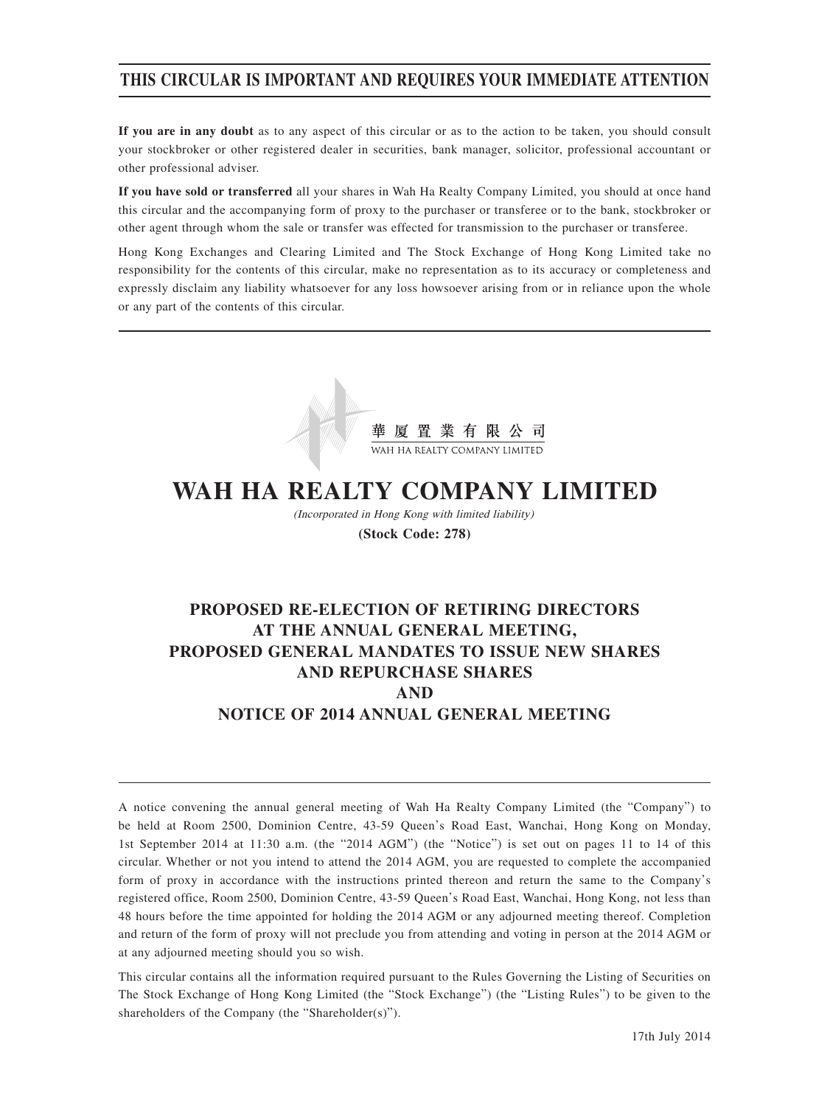## **THIS CIRCULAR IS IMPORTANT AND REQUIRES YOUR IMMEDIATE ATTENTION**

**If you are in any doubt** as to any aspect of this circular or as to the action to be taken, you should consult your stockbroker or other registered dealer in securities, bank manager, solicitor, professional accountant or other professional adviser.

**If you have sold or transferred** all your shares in Wah Ha Realty Company Limited, you should at once hand this circular and the accompanying form of proxy to the purchaser or transferee or to the bank, stockbroker or other agent through whom the sale or transfer was effected for transmission to the purchaser or transferee.

Hong Kong Exchanges and Clearing Limited and The Stock Exchange of Hong Kong Limited take no responsibility for the contents of this circular, make no representation as to its accuracy or completeness and expressly disclaim any liability whatsoever for any loss howsoever arising from or in reliance upon the whole or any part of the contents of this circular.



# **WAH HA REALTY COMPANY LIMITED**

(Incorporated in Hong Kong with limited liability) **(Stock Code: 278)**

## **PROPOSED RE-ELECTION OF RETIRING DIRECTORS AT THE ANNUAL GENERAL MEETING, PROPOSED GENERAL MANDATES TO ISSUE NEW SHARES AND REPURCHASE SHARES AND NOTICE OF 2014 ANNUAL GENERAL MEETING**

A notice convening the annual general meeting of Wah Ha Realty Company Limited (the "Company") to be held at Room 2500, Dominion Centre, 43-59 Queen's Road East, Wanchai, Hong Kong on Monday, 1st September 2014 at 11:30 a.m. (the "2014 AGM") (the "Notice") is set out on pages 11 to 14 of this circular. Whether or not you intend to attend the 2014 AGM, you are requested to complete the accompanied form of proxy in accordance with the instructions printed thereon and return the same to the Company's registered office, Room 2500, Dominion Centre, 43-59 Queen's Road East, Wanchai, Hong Kong, not less than 48 hours before the time appointed for holding the 2014 AGM or any adjourned meeting thereof. Completion and return of the form of proxy will not preclude you from attending and voting in person at the 2014 AGM or at any adjourned meeting should you so wish.

This circular contains all the information required pursuant to the Rules Governing the Listing of Securities on The Stock Exchange of Hong Kong Limited (the "Stock Exchange") (the "Listing Rules") to be given to the shareholders of the Company (the "Shareholder(s)").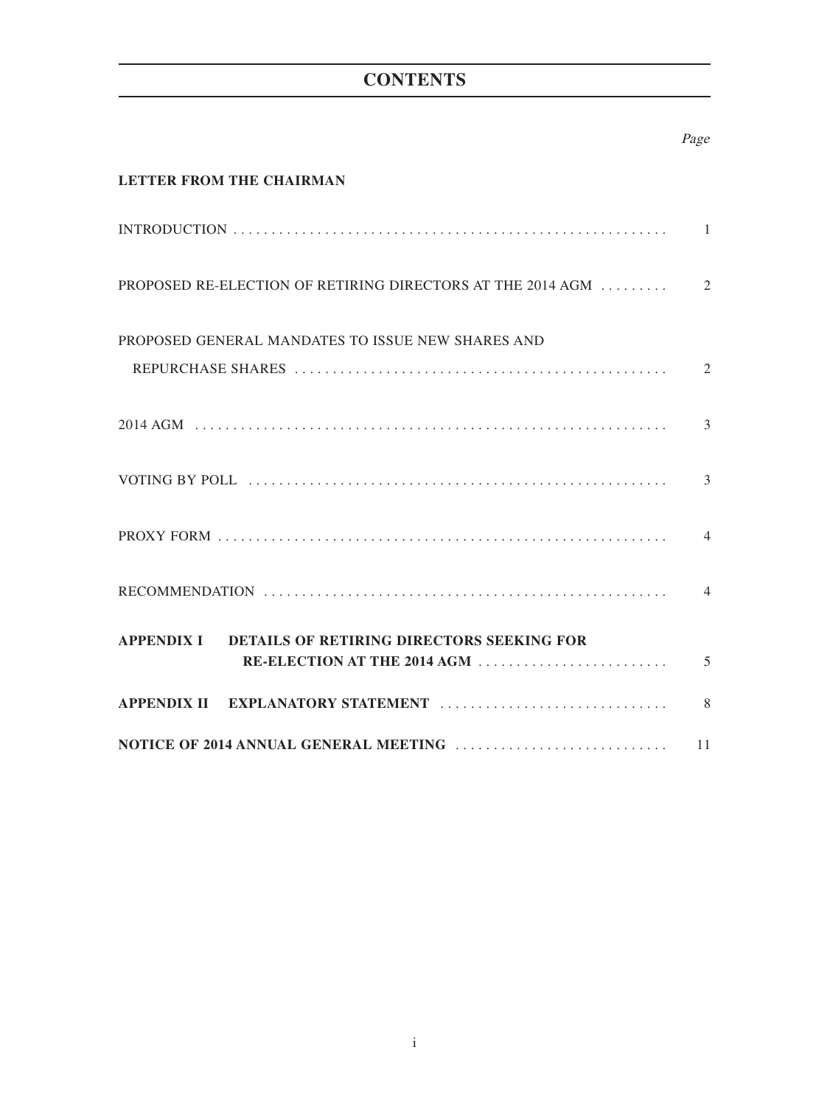## **CONTENTS**

## Page

## **LETTER FROM THE CHAIRMAN**

| PROPOSED GENERAL MANDATES TO ISSUE NEW SHARES AND                                                                                                                                                                              |  |
|--------------------------------------------------------------------------------------------------------------------------------------------------------------------------------------------------------------------------------|--|
|                                                                                                                                                                                                                                |  |
| VOTING BY POLL (1) (1) and 1) and 1) and 1) and 1) and 1) and 1) and 1) and 1) and 1) and 1) and 1) and 1) and 1) and 1) and 1) and 1) and 1) and 1) and 1) and 1) and 1) and 1) and 1) and 1) and 1) and 1) and 1) and 1) and |  |
|                                                                                                                                                                                                                                |  |
|                                                                                                                                                                                                                                |  |
| APPENDIX I DETAILS OF RETIRING DIRECTORS SEEKING FOR                                                                                                                                                                           |  |
|                                                                                                                                                                                                                                |  |
|                                                                                                                                                                                                                                |  |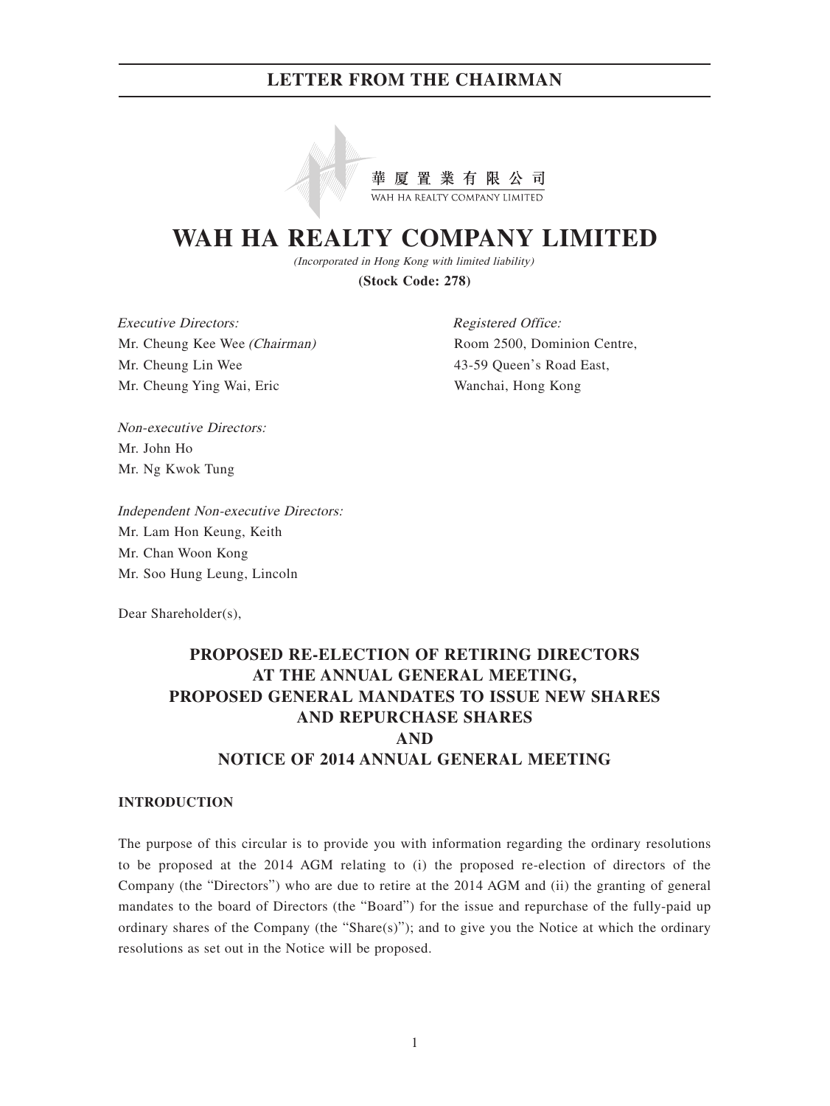

# **WAH HA REALTY COMPANY LIMITED**

(Incorporated in Hong Kong with limited liability)

**(Stock Code: 278)**

Executive Directors: Mr. Cheung Kee Wee (Chairman) Mr. Cheung Lin Wee Mr. Cheung Ying Wai, Eric

Registered Office: Room 2500, Dominion Centre, 43-59 Queen's Road East, Wanchai, Hong Kong

Non-executive Directors: Mr. John Ho Mr. Ng Kwok Tung

Independent Non-executive Directors: Mr. Lam Hon Keung, Keith Mr. Chan Woon Kong Mr. Soo Hung Leung, Lincoln

Dear Shareholder(s),

## **PROPOSED RE-ELECTION OF RETIRING DIRECTORS AT THE ANNUAL GENERAL MEETING, PROPOSED GENERAL MANDATES TO ISSUE NEW SHARES AND REPURCHASE SHARES AND NOTICE OF 2014 ANNUAL GENERAL MEETING**

#### **INTRODUCTION**

The purpose of this circular is to provide you with information regarding the ordinary resolutions to be proposed at the 2014 AGM relating to (i) the proposed re-election of directors of the Company (the "Directors") who are due to retire at the 2014 AGM and (ii) the granting of general mandates to the board of Directors (the "Board") for the issue and repurchase of the fully-paid up ordinary shares of the Company (the "Share(s)"); and to give you the Notice at which the ordinary resolutions as set out in the Notice will be proposed.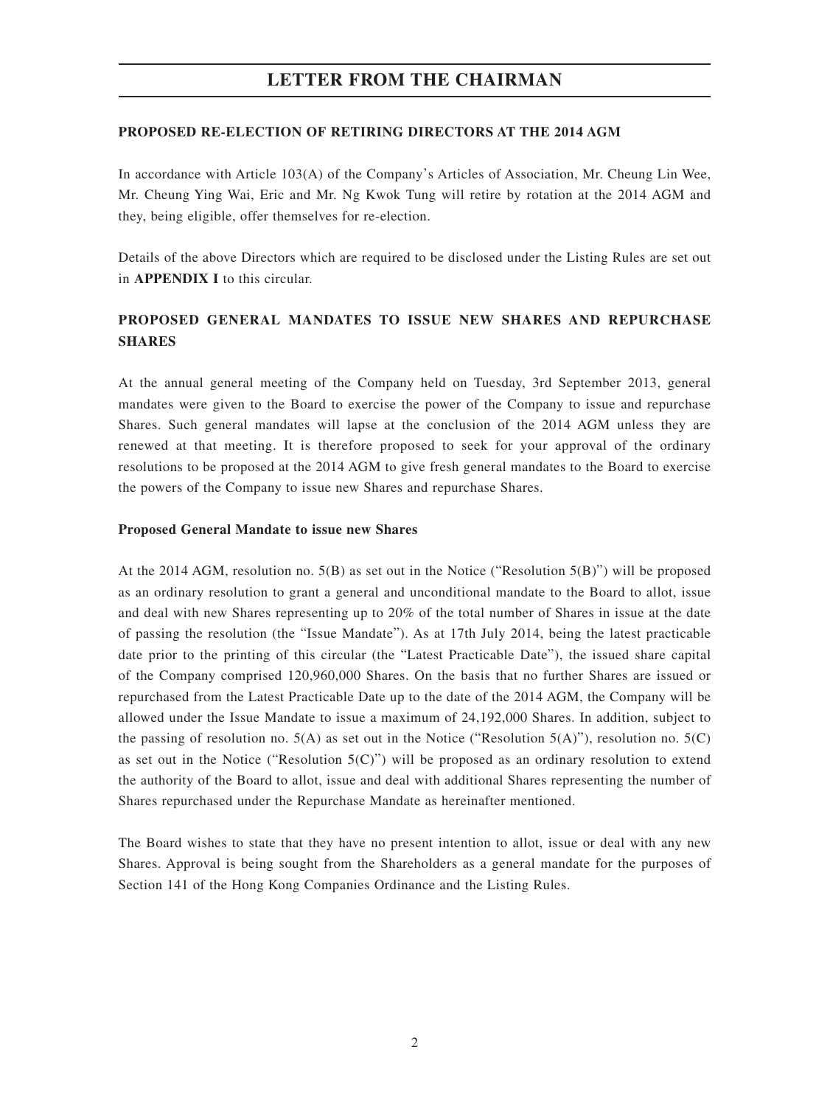#### **PROPOSED RE-ELECTION OF RETIRING DIRECTORS AT THE 2014 AGM**

In accordance with Article 103(A) of the Company's Articles of Association, Mr. Cheung Lin Wee, Mr. Cheung Ying Wai, Eric and Mr. Ng Kwok Tung will retire by rotation at the 2014 AGM and they, being eligible, offer themselves for re-election.

Details of the above Directors which are required to be disclosed under the Listing Rules are set out in **APPENDIX I** to this circular.

## **PROPOSED GENERAL MANDATES TO ISSUE NEW SHARES AND REPURCHASE SHARES**

At the annual general meeting of the Company held on Tuesday, 3rd September 2013, general mandates were given to the Board to exercise the power of the Company to issue and repurchase Shares. Such general mandates will lapse at the conclusion of the 2014 AGM unless they are renewed at that meeting. It is therefore proposed to seek for your approval of the ordinary resolutions to be proposed at the 2014 AGM to give fresh general mandates to the Board to exercise the powers of the Company to issue new Shares and repurchase Shares.

#### **Proposed General Mandate to issue new Shares**

At the 2014 AGM, resolution no. 5(B) as set out in the Notice ("Resolution 5(B)") will be proposed as an ordinary resolution to grant a general and unconditional mandate to the Board to allot, issue and deal with new Shares representing up to 20% of the total number of Shares in issue at the date of passing the resolution (the "Issue Mandate"). As at 17th July 2014, being the latest practicable date prior to the printing of this circular (the "Latest Practicable Date"), the issued share capital of the Company comprised 120,960,000 Shares. On the basis that no further Shares are issued or repurchased from the Latest Practicable Date up to the date of the 2014 AGM, the Company will be allowed under the Issue Mandate to issue a maximum of 24,192,000 Shares. In addition, subject to the passing of resolution no.  $5(A)$  as set out in the Notice ("Resolution  $5(A)$ "), resolution no.  $5(C)$ as set out in the Notice ("Resolution  $5(C)$ ") will be proposed as an ordinary resolution to extend the authority of the Board to allot, issue and deal with additional Shares representing the number of Shares repurchased under the Repurchase Mandate as hereinafter mentioned.

The Board wishes to state that they have no present intention to allot, issue or deal with any new Shares. Approval is being sought from the Shareholders as a general mandate for the purposes of Section 141 of the Hong Kong Companies Ordinance and the Listing Rules.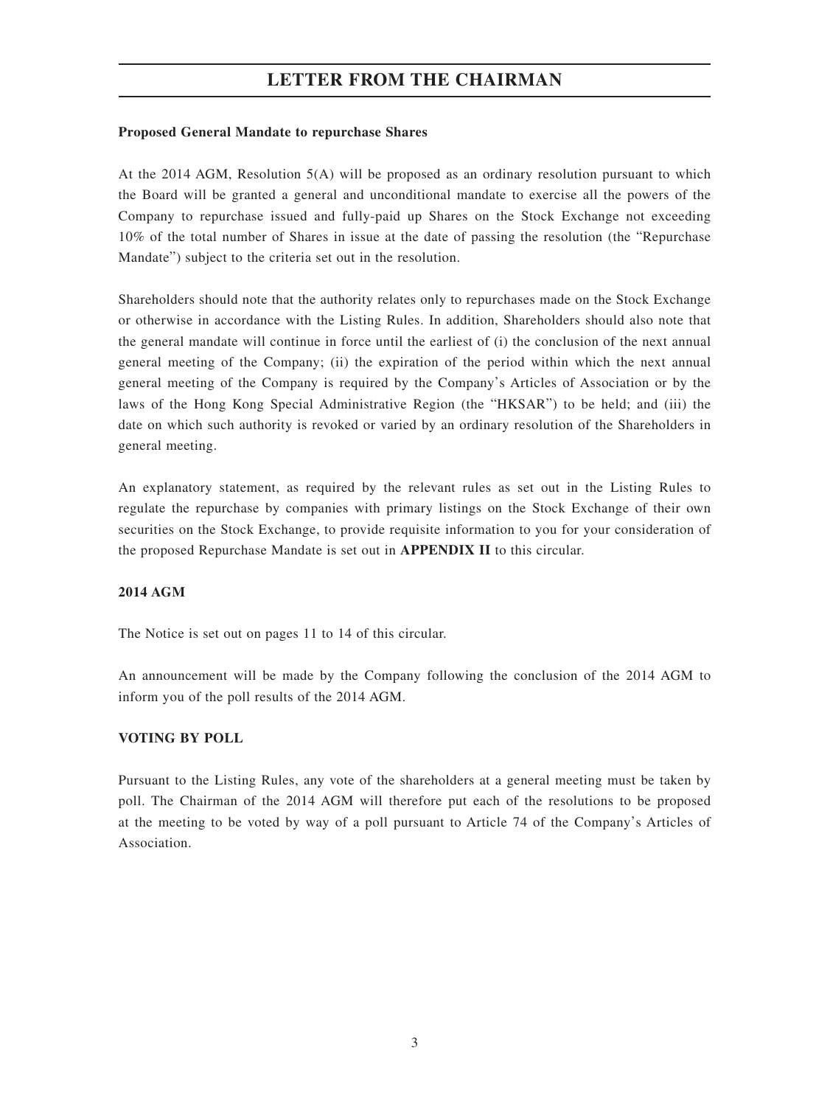#### **Proposed General Mandate to repurchase Shares**

At the 2014 AGM, Resolution 5(A) will be proposed as an ordinary resolution pursuant to which the Board will be granted a general and unconditional mandate to exercise all the powers of the Company to repurchase issued and fully-paid up Shares on the Stock Exchange not exceeding 10% of the total number of Shares in issue at the date of passing the resolution (the "Repurchase Mandate") subject to the criteria set out in the resolution.

Shareholders should note that the authority relates only to repurchases made on the Stock Exchange or otherwise in accordance with the Listing Rules. In addition, Shareholders should also note that the general mandate will continue in force until the earliest of (i) the conclusion of the next annual general meeting of the Company; (ii) the expiration of the period within which the next annual general meeting of the Company is required by the Company's Articles of Association or by the laws of the Hong Kong Special Administrative Region (the "HKSAR") to be held; and (iii) the date on which such authority is revoked or varied by an ordinary resolution of the Shareholders in general meeting.

An explanatory statement, as required by the relevant rules as set out in the Listing Rules to regulate the repurchase by companies with primary listings on the Stock Exchange of their own securities on the Stock Exchange, to provide requisite information to you for your consideration of the proposed Repurchase Mandate is set out in **APPENDIX II** to this circular.

#### **2014 AGM**

The Notice is set out on pages 11 to 14 of this circular.

An announcement will be made by the Company following the conclusion of the 2014 AGM to inform you of the poll results of the 2014 AGM.

#### **VOTING BY POLL**

Pursuant to the Listing Rules, any vote of the shareholders at a general meeting must be taken by poll. The Chairman of the 2014 AGM will therefore put each of the resolutions to be proposed at the meeting to be voted by way of a poll pursuant to Article 74 of the Company's Articles of Association.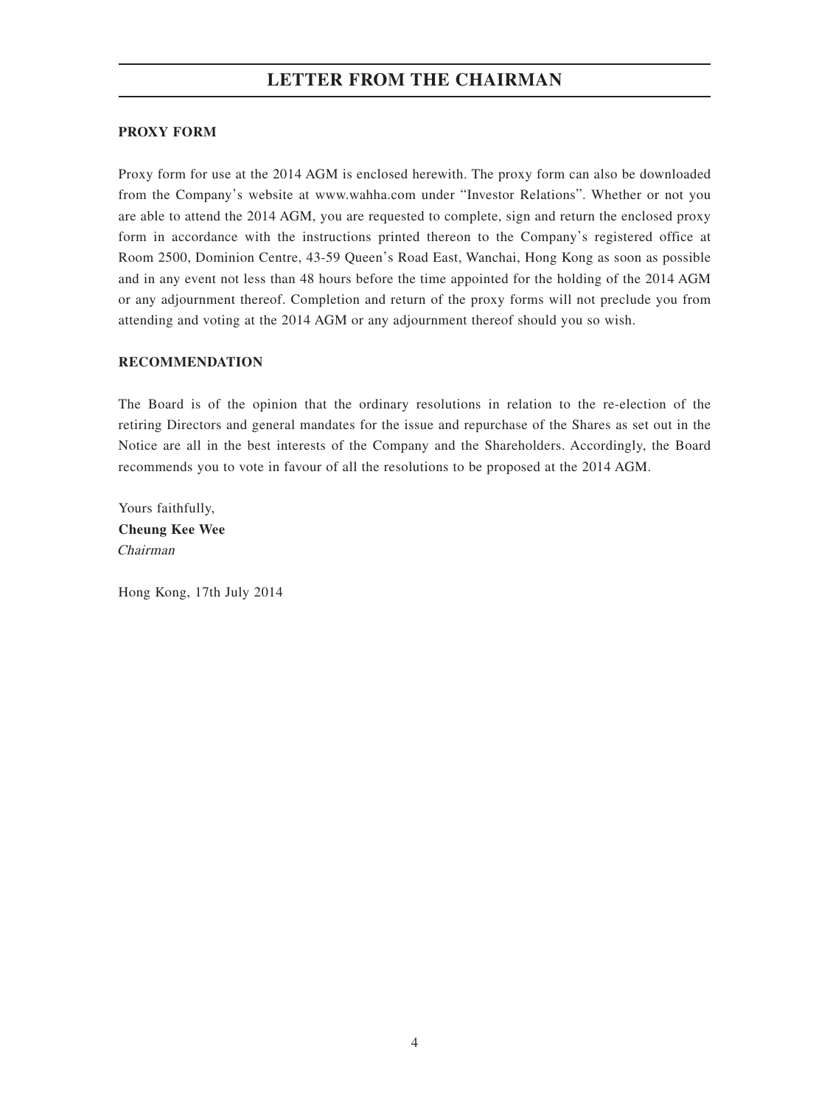### **PROXY FORM**

Proxy form for use at the 2014 AGM is enclosed herewith. The proxy form can also be downloaded from the Company's website at www.wahha.com under "Investor Relations". Whether or not you are able to attend the 2014 AGM, you are requested to complete, sign and return the enclosed proxy form in accordance with the instructions printed thereon to the Company's registered office at Room 2500, Dominion Centre, 43-59 Queen's Road East, Wanchai, Hong Kong as soon as possible and in any event not less than 48 hours before the time appointed for the holding of the 2014 AGM or any adjournment thereof. Completion and return of the proxy forms will not preclude you from attending and voting at the 2014 AGM or any adjournment thereof should you so wish.

#### **RECOMMENDATION**

The Board is of the opinion that the ordinary resolutions in relation to the re-election of the retiring Directors and general mandates for the issue and repurchase of the Shares as set out in the Notice are all in the best interests of the Company and the Shareholders. Accordingly, the Board recommends you to vote in favour of all the resolutions to be proposed at the 2014 AGM.

Yours faithfully, **Cheung Kee Wee** Chairman

Hong Kong, 17th July 2014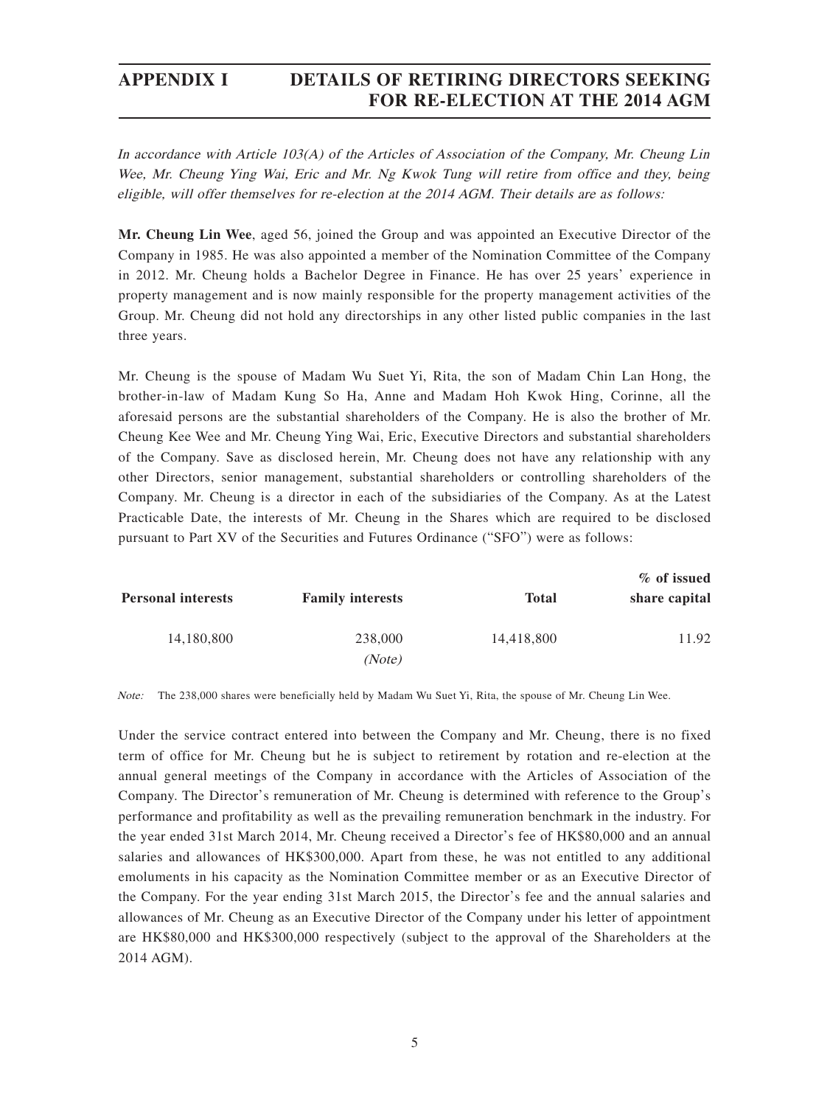## **APPENDIX I DETAILS OF RETIRING DIRECTORS SEEKING FOR RE-ELECTION AT THE 2014 AGM**

In accordance with Article 103(A) of the Articles of Association of the Company, Mr. Cheung Lin Wee, Mr. Cheung Ying Wai, Eric and Mr. Ng Kwok Tung will retire from office and they, being eligible, will offer themselves for re-election at the 2014 AGM. Their details are as follows:

**Mr. Cheung Lin Wee**, aged 56, joined the Group and was appointed an Executive Director of the Company in 1985. He was also appointed a member of the Nomination Committee of the Company in 2012. Mr. Cheung holds a Bachelor Degree in Finance. He has over 25 years' experience in property management and is now mainly responsible for the property management activities of the Group. Mr. Cheung did not hold any directorships in any other listed public companies in the last three years.

Mr. Cheung is the spouse of Madam Wu Suet Yi, Rita, the son of Madam Chin Lan Hong, the brother-in-law of Madam Kung So Ha, Anne and Madam Hoh Kwok Hing, Corinne, all the aforesaid persons are the substantial shareholders of the Company. He is also the brother of Mr. Cheung Kee Wee and Mr. Cheung Ying Wai, Eric, Executive Directors and substantial shareholders of the Company. Save as disclosed herein, Mr. Cheung does not have any relationship with any other Directors, senior management, substantial shareholders or controlling shareholders of the Company. Mr. Cheung is a director in each of the subsidiaries of the Company. As at the Latest Practicable Date, the interests of Mr. Cheung in the Shares which are required to be disclosed pursuant to Part XV of the Securities and Futures Ordinance ("SFO") were as follows:

| % of issued   |              |                         |                           |  |  |
|---------------|--------------|-------------------------|---------------------------|--|--|
| share capital | <b>Total</b> | <b>Family interests</b> | <b>Personal interests</b> |  |  |
| 11.92         | 14,418,800   | 238,000                 | 14,180,800                |  |  |
|               |              | (Note)                  |                           |  |  |

Note: The 238,000 shares were beneficially held by Madam Wu Suet Yi, Rita, the spouse of Mr. Cheung Lin Wee.

Under the service contract entered into between the Company and Mr. Cheung, there is no fixed term of office for Mr. Cheung but he is subject to retirement by rotation and re-election at the annual general meetings of the Company in accordance with the Articles of Association of the Company. The Director's remuneration of Mr. Cheung is determined with reference to the Group's performance and profitability as well as the prevailing remuneration benchmark in the industry. For the year ended 31st March 2014, Mr. Cheung received a Director's fee of HK\$80,000 and an annual salaries and allowances of HK\$300,000. Apart from these, he was not entitled to any additional emoluments in his capacity as the Nomination Committee member or as an Executive Director of the Company. For the year ending 31st March 2015, the Director's fee and the annual salaries and allowances of Mr. Cheung as an Executive Director of the Company under his letter of appointment are HK\$80,000 and HK\$300,000 respectively (subject to the approval of the Shareholders at the 2014 AGM).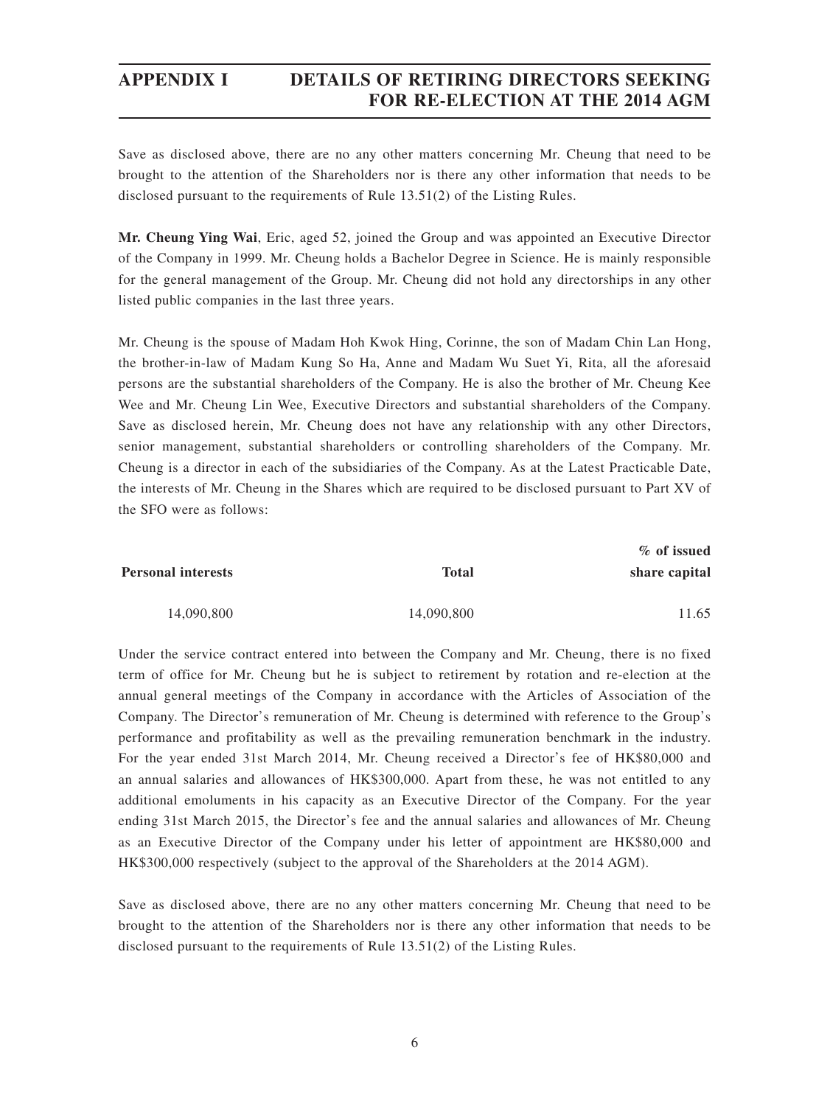## **APPENDIX I DETAILS OF RETIRING DIRECTORS SEEKING FOR RE-ELECTION AT THE 2014 AGM**

Save as disclosed above, there are no any other matters concerning Mr. Cheung that need to be brought to the attention of the Shareholders nor is there any other information that needs to be disclosed pursuant to the requirements of Rule 13.51(2) of the Listing Rules.

**Mr. Cheung Ying Wai**, Eric, aged 52, joined the Group and was appointed an Executive Director of the Company in 1999. Mr. Cheung holds a Bachelor Degree in Science. He is mainly responsible for the general management of the Group. Mr. Cheung did not hold any directorships in any other listed public companies in the last three years.

Mr. Cheung is the spouse of Madam Hoh Kwok Hing, Corinne, the son of Madam Chin Lan Hong, the brother-in-law of Madam Kung So Ha, Anne and Madam Wu Suet Yi, Rita, all the aforesaid persons are the substantial shareholders of the Company. He is also the brother of Mr. Cheung Kee Wee and Mr. Cheung Lin Wee, Executive Directors and substantial shareholders of the Company. Save as disclosed herein, Mr. Cheung does not have any relationship with any other Directors, senior management, substantial shareholders or controlling shareholders of the Company. Mr. Cheung is a director in each of the subsidiaries of the Company. As at the Latest Practicable Date, the interests of Mr. Cheung in the Shares which are required to be disclosed pursuant to Part XV of the SFO were as follows:

| % of issued   |            |                           |  |
|---------------|------------|---------------------------|--|
| share capital | Total      | <b>Personal interests</b> |  |
| 11.65         | 14,090,800 | 14,090,800                |  |

Under the service contract entered into between the Company and Mr. Cheung, there is no fixed term of office for Mr. Cheung but he is subject to retirement by rotation and re-election at the annual general meetings of the Company in accordance with the Articles of Association of the Company. The Director's remuneration of Mr. Cheung is determined with reference to the Group's performance and profitability as well as the prevailing remuneration benchmark in the industry. For the year ended 31st March 2014, Mr. Cheung received a Director's fee of HK\$80,000 and an annual salaries and allowances of HK\$300,000. Apart from these, he was not entitled to any additional emoluments in his capacity as an Executive Director of the Company. For the year ending 31st March 2015, the Director's fee and the annual salaries and allowances of Mr. Cheung as an Executive Director of the Company under his letter of appointment are HK\$80,000 and HK\$300,000 respectively (subject to the approval of the Shareholders at the 2014 AGM).

Save as disclosed above, there are no any other matters concerning Mr. Cheung that need to be brought to the attention of the Shareholders nor is there any other information that needs to be disclosed pursuant to the requirements of Rule 13.51(2) of the Listing Rules.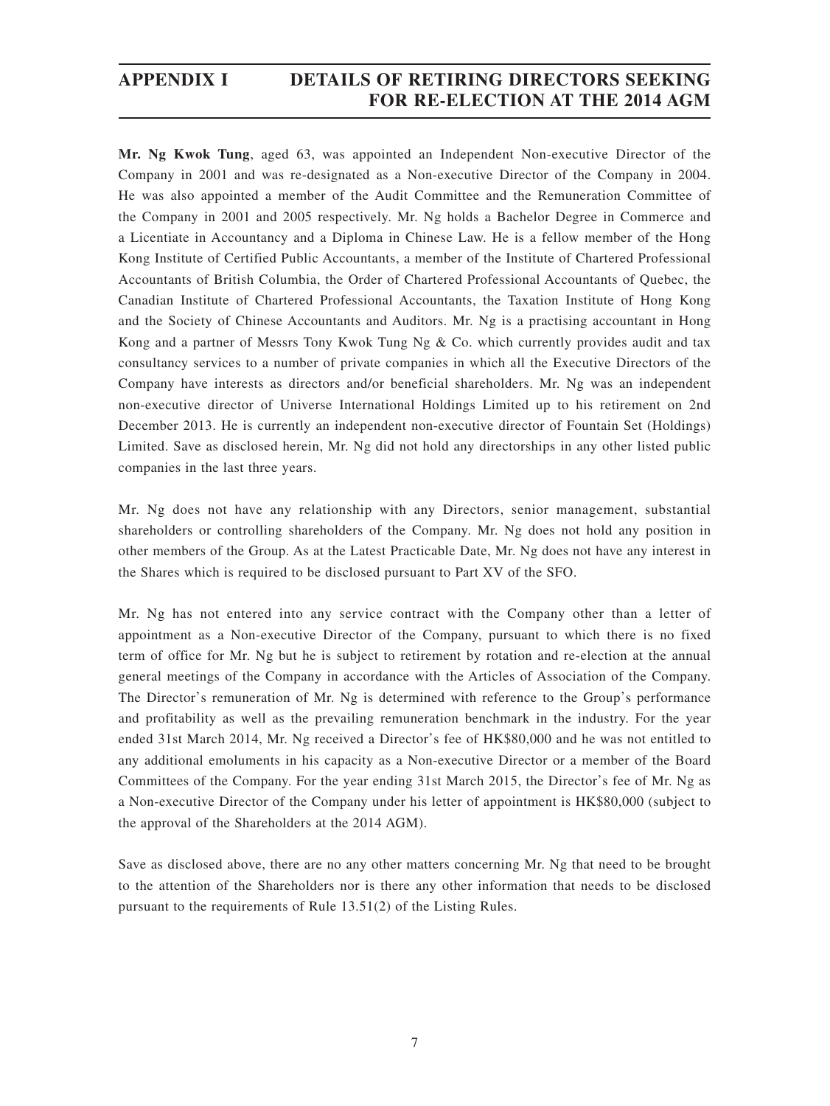## **APPENDIX I DETAILS OF RETIRING DIRECTORS SEEKING FOR RE-ELECTION AT THE 2014 AGM**

**Mr. Ng Kwok Tung**, aged 63, was appointed an Independent Non-executive Director of the Company in 2001 and was re-designated as a Non-executive Director of the Company in 2004. He was also appointed a member of the Audit Committee and the Remuneration Committee of the Company in 2001 and 2005 respectively. Mr. Ng holds a Bachelor Degree in Commerce and a Licentiate in Accountancy and a Diploma in Chinese Law. He is a fellow member of the Hong Kong Institute of Certified Public Accountants, a member of the Institute of Chartered Professional Accountants of British Columbia, the Order of Chartered Professional Accountants of Quebec, the Canadian Institute of Chartered Professional Accountants, the Taxation Institute of Hong Kong and the Society of Chinese Accountants and Auditors. Mr. Ng is a practising accountant in Hong Kong and a partner of Messrs Tony Kwok Tung Ng & Co. which currently provides audit and tax consultancy services to a number of private companies in which all the Executive Directors of the Company have interests as directors and/or beneficial shareholders. Mr. Ng was an independent non-executive director of Universe International Holdings Limited up to his retirement on 2nd December 2013. He is currently an independent non-executive director of Fountain Set (Holdings) Limited. Save as disclosed herein, Mr. Ng did not hold any directorships in any other listed public companies in the last three years.

Mr. Ng does not have any relationship with any Directors, senior management, substantial shareholders or controlling shareholders of the Company. Mr. Ng does not hold any position in other members of the Group. As at the Latest Practicable Date, Mr. Ng does not have any interest in the Shares which is required to be disclosed pursuant to Part XV of the SFO.

Mr. Ng has not entered into any service contract with the Company other than a letter of appointment as a Non-executive Director of the Company, pursuant to which there is no fixed term of office for Mr. Ng but he is subject to retirement by rotation and re-election at the annual general meetings of the Company in accordance with the Articles of Association of the Company. The Director's remuneration of Mr. Ng is determined with reference to the Group's performance and profitability as well as the prevailing remuneration benchmark in the industry. For the year ended 31st March 2014, Mr. Ng received a Director's fee of HK\$80,000 and he was not entitled to any additional emoluments in his capacity as a Non-executive Director or a member of the Board Committees of the Company. For the year ending 31st March 2015, the Director's fee of Mr. Ng as a Non-executive Director of the Company under his letter of appointment is HK\$80,000 (subject to the approval of the Shareholders at the 2014 AGM).

Save as disclosed above, there are no any other matters concerning Mr. Ng that need to be brought to the attention of the Shareholders nor is there any other information that needs to be disclosed pursuant to the requirements of Rule 13.51(2) of the Listing Rules.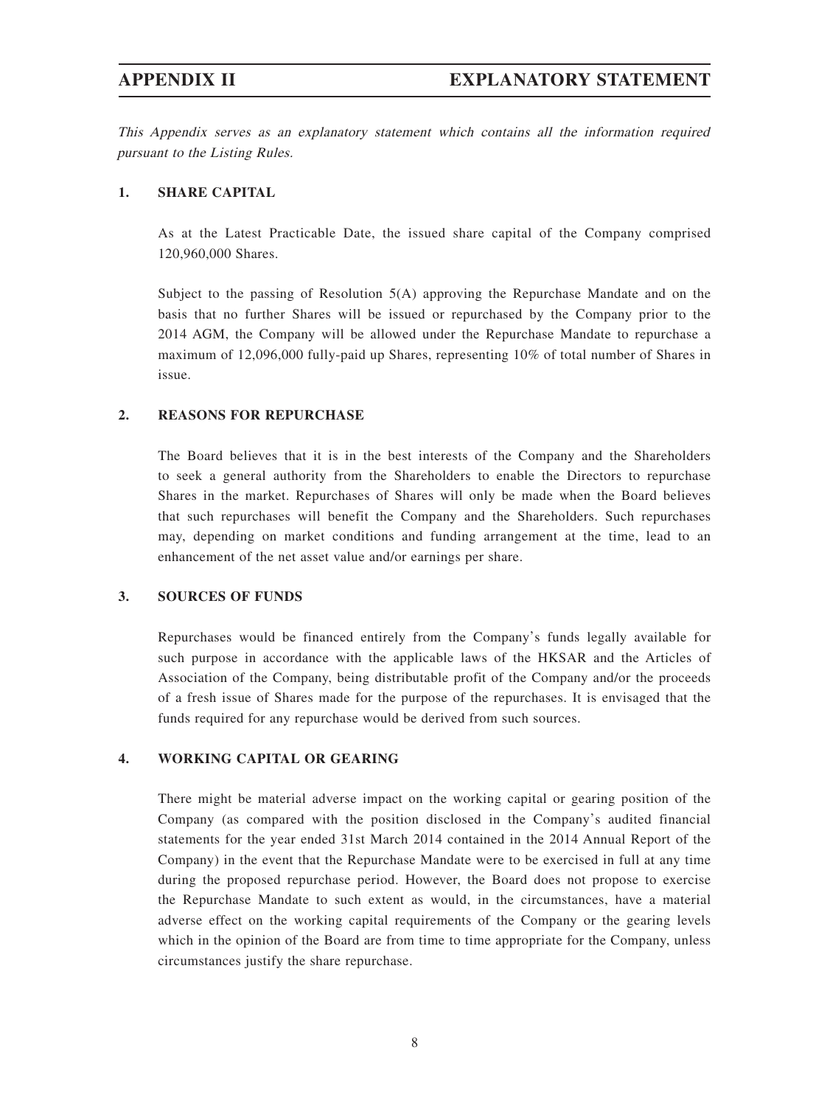This Appendix serves as an explanatory statement which contains all the information required pursuant to the Listing Rules.

#### **1. SHARE CAPITAL**

As at the Latest Practicable Date, the issued share capital of the Company comprised 120,960,000 Shares.

Subject to the passing of Resolution 5(A) approving the Repurchase Mandate and on the basis that no further Shares will be issued or repurchased by the Company prior to the 2014 AGM, the Company will be allowed under the Repurchase Mandate to repurchase a maximum of 12,096,000 fully-paid up Shares, representing 10% of total number of Shares in issue.

#### **2. REASONS FOR REPURCHASE**

The Board believes that it is in the best interests of the Company and the Shareholders to seek a general authority from the Shareholders to enable the Directors to repurchase Shares in the market. Repurchases of Shares will only be made when the Board believes that such repurchases will benefit the Company and the Shareholders. Such repurchases may, depending on market conditions and funding arrangement at the time, lead to an enhancement of the net asset value and/or earnings per share.

#### **3. SOURCES OF FUNDS**

Repurchases would be financed entirely from the Company's funds legally available for such purpose in accordance with the applicable laws of the HKSAR and the Articles of Association of the Company, being distributable profit of the Company and/or the proceeds of a fresh issue of Shares made for the purpose of the repurchases. It is envisaged that the funds required for any repurchase would be derived from such sources.

#### **4. WORKING CAPITAL OR GEARING**

There might be material adverse impact on the working capital or gearing position of the Company (as compared with the position disclosed in the Company's audited financial statements for the year ended 31st March 2014 contained in the 2014 Annual Report of the Company) in the event that the Repurchase Mandate were to be exercised in full at any time during the proposed repurchase period. However, the Board does not propose to exercise the Repurchase Mandate to such extent as would, in the circumstances, have a material adverse effect on the working capital requirements of the Company or the gearing levels which in the opinion of the Board are from time to time appropriate for the Company, unless circumstances justify the share repurchase.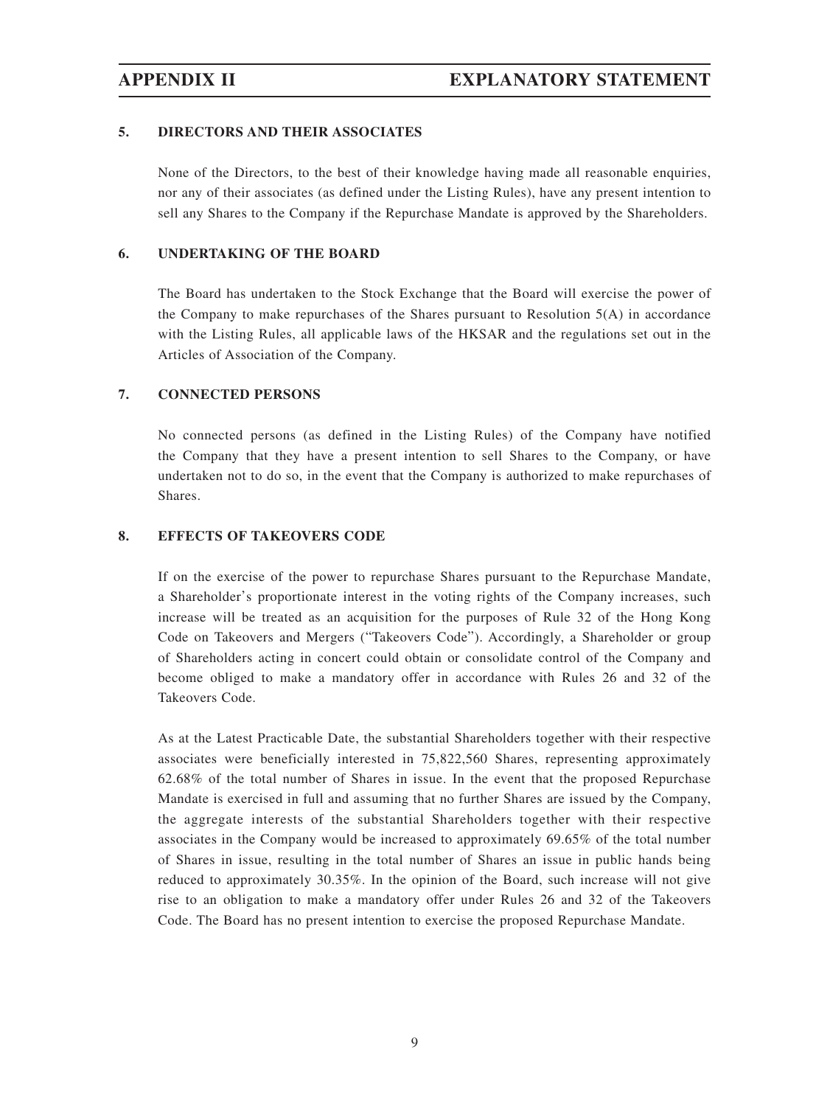#### **5. DIRECTORS AND THEIR ASSOCIATES**

None of the Directors, to the best of their knowledge having made all reasonable enquiries, nor any of their associates (as defined under the Listing Rules), have any present intention to sell any Shares to the Company if the Repurchase Mandate is approved by the Shareholders.

## **6. UNDERTAKING OF THE BOARD**

The Board has undertaken to the Stock Exchange that the Board will exercise the power of the Company to make repurchases of the Shares pursuant to Resolution  $5(A)$  in accordance with the Listing Rules, all applicable laws of the HKSAR and the regulations set out in the Articles of Association of the Company.

#### **7. CONNECTED PERSONS**

No connected persons (as defined in the Listing Rules) of the Company have notified the Company that they have a present intention to sell Shares to the Company, or have undertaken not to do so, in the event that the Company is authorized to make repurchases of Shares.

#### **8. EFFECTS OF TAKEOVERS CODE**

If on the exercise of the power to repurchase Shares pursuant to the Repurchase Mandate, a Shareholder's proportionate interest in the voting rights of the Company increases, such increase will be treated as an acquisition for the purposes of Rule 32 of the Hong Kong Code on Takeovers and Mergers ("Takeovers Code"). Accordingly, a Shareholder or group of Shareholders acting in concert could obtain or consolidate control of the Company and become obliged to make a mandatory offer in accordance with Rules 26 and 32 of the Takeovers Code.

As at the Latest Practicable Date, the substantial Shareholders together with their respective associates were beneficially interested in 75,822,560 Shares, representing approximately 62.68% of the total number of Shares in issue. In the event that the proposed Repurchase Mandate is exercised in full and assuming that no further Shares are issued by the Company, the aggregate interests of the substantial Shareholders together with their respective associates in the Company would be increased to approximately 69.65% of the total number of Shares in issue, resulting in the total number of Shares an issue in public hands being reduced to approximately 30.35%. In the opinion of the Board, such increase will not give rise to an obligation to make a mandatory offer under Rules 26 and 32 of the Takeovers Code. The Board has no present intention to exercise the proposed Repurchase Mandate.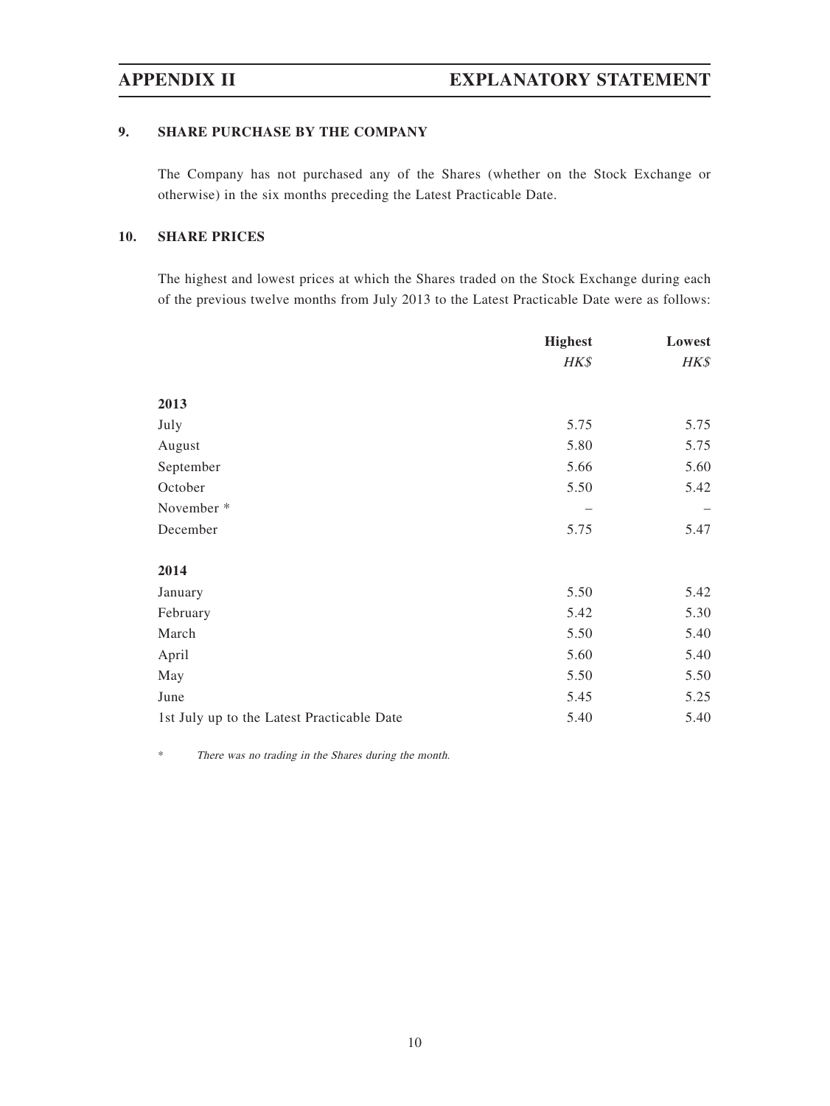### **9. SHARE PURCHASE BY THE COMPANY**

The Company has not purchased any of the Shares (whether on the Stock Exchange or otherwise) in the six months preceding the Latest Practicable Date.

### **10. SHARE PRICES**

The highest and lowest prices at which the Shares traded on the Stock Exchange during each of the previous twelve months from July 2013 to the Latest Practicable Date were as follows:

|                                            | <b>Highest</b> | Lowest |
|--------------------------------------------|----------------|--------|
|                                            | HK\$           | HK\$   |
| 2013                                       |                |        |
| July                                       | 5.75           | 5.75   |
| August                                     | 5.80           | 5.75   |
| September                                  | 5.66           | 5.60   |
| October                                    | 5.50           | 5.42   |
| November *                                 |                |        |
| December                                   | 5.75           | 5.47   |
| 2014                                       |                |        |
| January                                    | 5.50           | 5.42   |
| February                                   | 5.42           | 5.30   |
| March                                      | 5.50           | 5.40   |
| April                                      | 5.60           | 5.40   |
| May                                        | 5.50           | 5.50   |
| June                                       | 5.45           | 5.25   |
| 1st July up to the Latest Practicable Date | 5.40           | 5.40   |

\* There was no trading in the Shares during the month.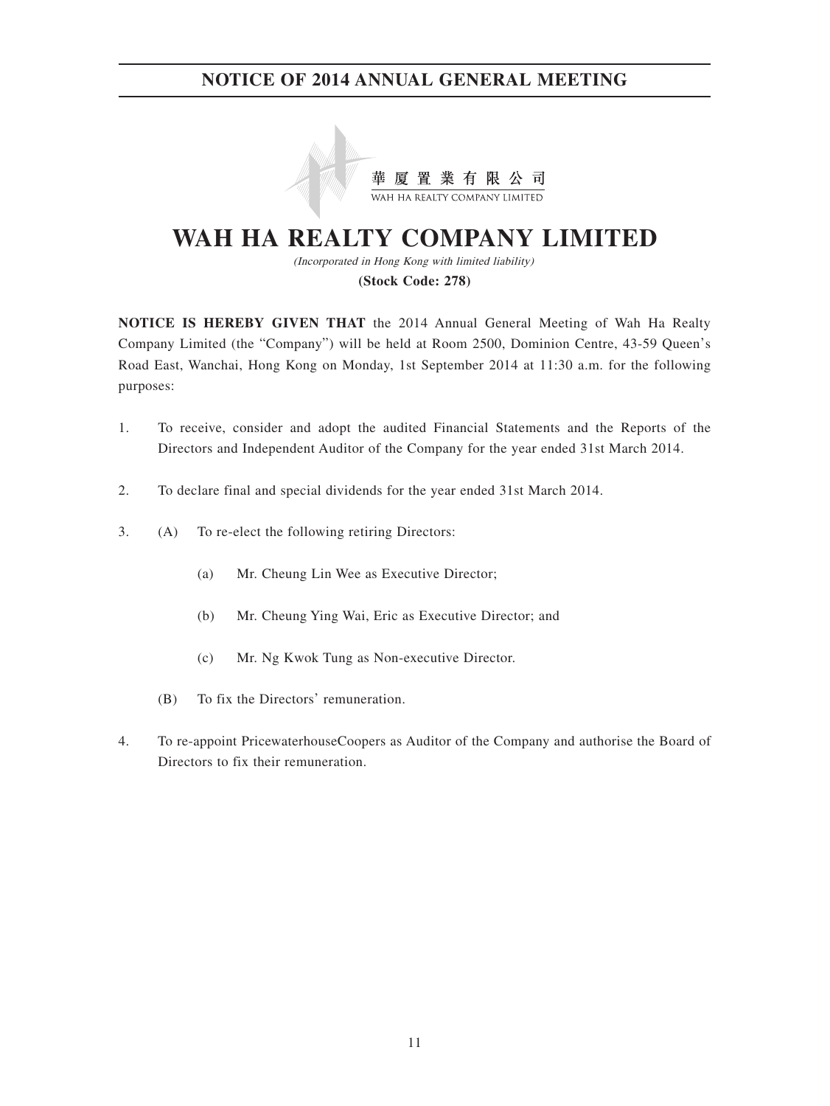

# **WAH HA REALTY COMPANY LIMITED**

(Incorporated in Hong Kong with limited liability) **(Stock Code: 278)**

**NOTICE IS HEREBY GIVEN THAT** the 2014 Annual General Meeting of Wah Ha Realty Company Limited (the "Company") will be held at Room 2500, Dominion Centre, 43-59 Queen's Road East, Wanchai, Hong Kong on Monday, 1st September 2014 at 11:30 a.m. for the following purposes:

- 1. To receive, consider and adopt the audited Financial Statements and the Reports of the Directors and Independent Auditor of the Company for the year ended 31st March 2014.
- 2. To declare final and special dividends for the year ended 31st March 2014.
- 3. (A) To re-elect the following retiring Directors:
	- (a) Mr. Cheung Lin Wee as Executive Director;
	- (b) Mr. Cheung Ying Wai, Eric as Executive Director; and
	- (c) Mr. Ng Kwok Tung as Non-executive Director.
	- (B) To fix the Directors' remuneration.
- 4. To re-appoint PricewaterhouseCoopers as Auditor of the Company and authorise the Board of Directors to fix their remuneration.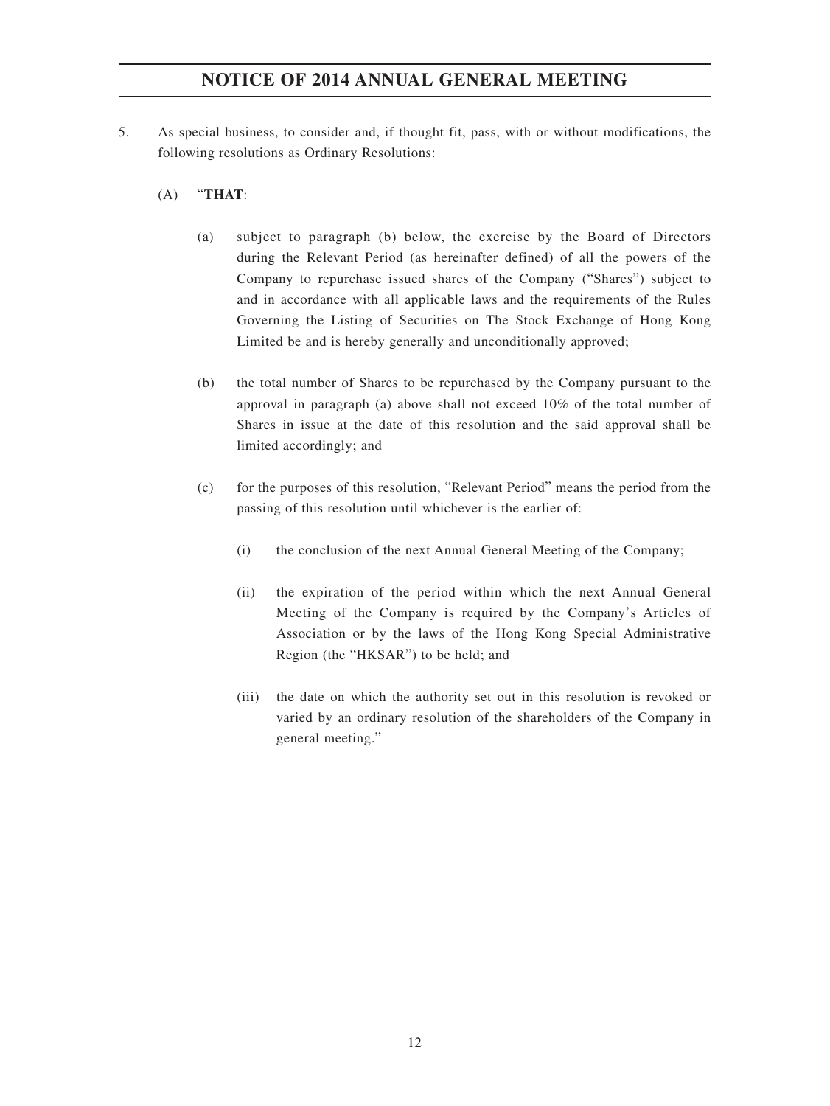- 5. As special business, to consider and, if thought fit, pass, with or without modifications, the following resolutions as Ordinary Resolutions:
	- (A) "**THAT**:
		- (a) subject to paragraph (b) below, the exercise by the Board of Directors during the Relevant Period (as hereinafter defined) of all the powers of the Company to repurchase issued shares of the Company ("Shares") subject to and in accordance with all applicable laws and the requirements of the Rules Governing the Listing of Securities on The Stock Exchange of Hong Kong Limited be and is hereby generally and unconditionally approved;
		- (b) the total number of Shares to be repurchased by the Company pursuant to the approval in paragraph (a) above shall not exceed 10% of the total number of Shares in issue at the date of this resolution and the said approval shall be limited accordingly; and
		- (c) for the purposes of this resolution, "Relevant Period" means the period from the passing of this resolution until whichever is the earlier of:
			- (i) the conclusion of the next Annual General Meeting of the Company;
			- (ii) the expiration of the period within which the next Annual General Meeting of the Company is required by the Company's Articles of Association or by the laws of the Hong Kong Special Administrative Region (the "HKSAR") to be held; and
			- (iii) the date on which the authority set out in this resolution is revoked or varied by an ordinary resolution of the shareholders of the Company in general meeting."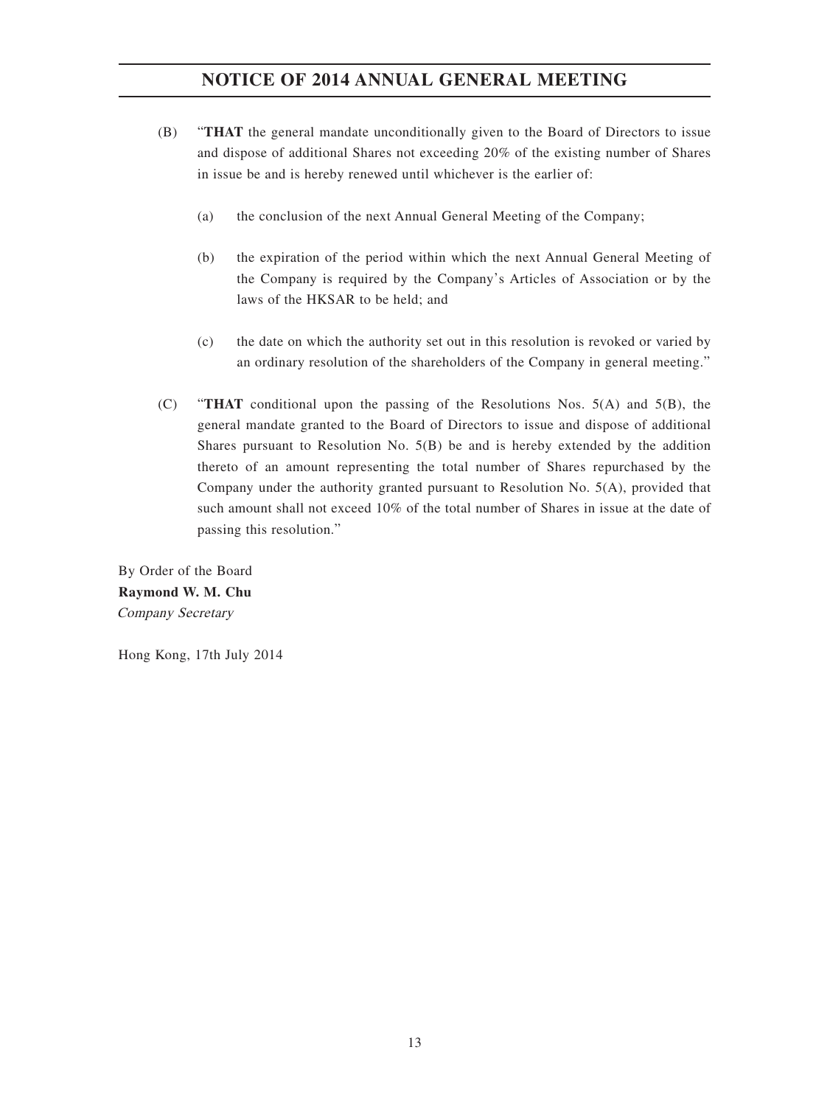- (B) "**THAT** the general mandate unconditionally given to the Board of Directors to issue and dispose of additional Shares not exceeding 20% of the existing number of Shares in issue be and is hereby renewed until whichever is the earlier of:
	- (a) the conclusion of the next Annual General Meeting of the Company;
	- (b) the expiration of the period within which the next Annual General Meeting of the Company is required by the Company's Articles of Association or by the laws of the HKSAR to be held; and
	- (c) the date on which the authority set out in this resolution is revoked or varied by an ordinary resolution of the shareholders of the Company in general meeting."
- (C) "**THAT** conditional upon the passing of the Resolutions Nos. 5(A) and 5(B), the general mandate granted to the Board of Directors to issue and dispose of additional Shares pursuant to Resolution No.  $5(B)$  be and is hereby extended by the addition thereto of an amount representing the total number of Shares repurchased by the Company under the authority granted pursuant to Resolution No. 5(A), provided that such amount shall not exceed 10% of the total number of Shares in issue at the date of passing this resolution."

By Order of the Board **Raymond W. M. Chu** Company Secretary

Hong Kong, 17th July 2014